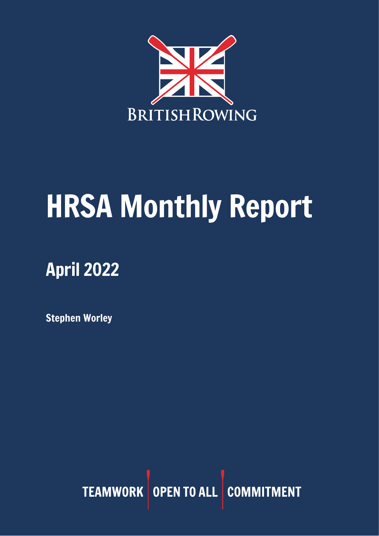

# HRSA Monthly Report

## April 2022

Stephen Worley

TEAMWORK OPEN TO ALL COMMITMENT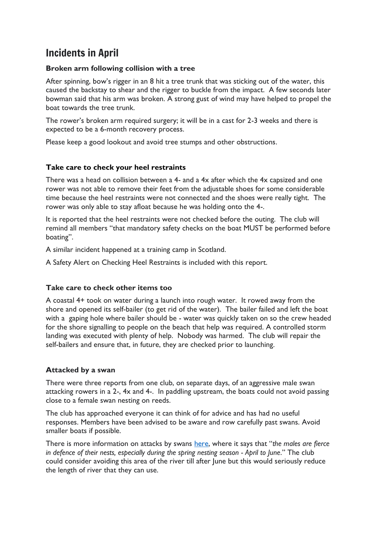## Incidents in April

#### **Broken arm following collision with a tree**

After spinning, bow's rigger in an 8 hit a tree trunk that was sticking out of the water, this caused the backstay to shear and the rigger to buckle from the impact. A few seconds later bowman said that his arm was broken. A strong gust of wind may have helped to propel the boat towards the tree trunk.

The rower's broken arm required surgery; it will be in a cast for 2-3 weeks and there is expected to be a 6-month recovery process.

Please keep a good lookout and avoid tree stumps and other obstructions.

#### **Take care to check your heel restraints**

There was a head on collision between a 4- and a 4x after which the 4x capsized and one rower was not able to remove their feet from the adjustable shoes for some considerable time because the heel restraints were not connected and the shoes were really tight. The rower was only able to stay afloat because he was holding onto the 4-.

It is reported that the heel restraints were not checked before the outing. The club will remind all members "that mandatory safety checks on the boat MUST be performed before boating".

A similar incident happened at a training camp in Scotland.

A Safety Alert on Checking Heel Restraints is included with this report.

#### **Take care to check other items too**

A coastal 4+ took on water during a launch into rough water. It rowed away from the shore and opened its self-bailer (to get rid of the water). The bailer failed and left the boat with a gaping hole where bailer should be - water was quickly taken on so the crew headed for the shore signalling to people on the beach that help was required. A controlled storm landing was executed with plenty of help. Nobody was harmed. The club will repair the self-bailers and ensure that, in future, they are checked prior to launching.

#### **Attacked by a swan**

There were three reports from one club, on separate days, of an aggressive male swan attacking rowers in a 2-, 4x and 4-. In paddling upstream, the boats could not avoid passing close to a female swan nesting on reeds.

The club has approached everyone it can think of for advice and has had no useful responses. Members have been advised to be aware and row carefully past swans. Avoid smaller boats if possible.

There is more information on attacks by swans [here](https://www.bbc.co.uk/news/magazine-17736292), where it says that "*the males are fierce in defence of their nests, especially during the spring nesting season - April to June*." The club could consider avoiding this area of the river till after June but this would seriously reduce the length of river that they can use.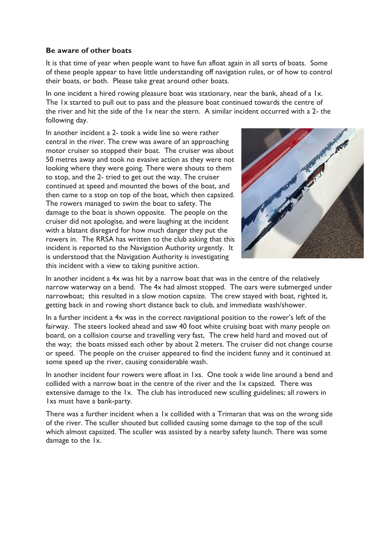#### **Be aware of other boats**

It is that time of year when people want to have fun afloat again in all sorts of boats. Some of these people appear to have little understanding off navigation rules, or of how to control their boats, or both. Please take great around other boats.

In one incident a hired rowing pleasure boat was stationary, near the bank, ahead of a 1x. The 1x started to pull out to pass and the pleasure boat continued towards the centre of the river and hit the side of the 1x near the stern. A similar incident occurred with a 2- the following day.

In another incident a 2- took a wide line so were rather central in the river. The crew was aware of an approaching motor cruiser so stopped their boat. The cruiser was about 50 metres away and took no evasive action as they were not looking where they were going. There were shouts to them to stop, and the 2- tried to get out the way. The cruiser continued at speed and mounted the bows of the boat, and then came to a stop on top of the boat, which then capsized. The rowers managed to swim the boat to safety. The damage to the boat is shown opposite. The people on the cruiser did not apologise, and were laughing at the incident with a blatant disregard for how much danger they put the rowers in. The RRSA has written to the club asking that this incident is reported to the Navigation Authority urgently. It is understood that the Navigation Authority is investigating this incident with a view to taking punitive action.



In another incident a 4x was hit by a narrow boat that was in the centre of the relatively narrow waterway on a bend. The 4x had almost stopped. The oars were submerged under narrowboat; this resulted in a slow motion capsize. The crew stayed with boat, righted it, getting back in and rowing short distance back to club, and immediate wash/shower.

In a further incident a 4x was in the correct navigational position to the rower's left of the fairway. The steers looked ahead and saw 40 foot white cruising boat with many people on board, on a collision course and travelling very fast, The crew held hard and moved out of the way; the boats missed each other by about 2 meters. The cruiser did not change course or speed. The people on the cruiser appeared to find the incident funny and it continued at some speed up the river, causing considerable wash.

In another incident four rowers were afloat in 1xs. One took a wide line around a bend and collided with a narrow boat in the centre of the river and the 1x capsized. There was extensive damage to the 1x. The club has introduced new sculling guidelines; all rowers in 1xs must have a bank-party.

There was a further incident when a 1x collided with a Trimaran that was on the wrong side of the river. The sculler shouted but collided causing some damage to the top of the scull which almost capsized. The sculler was assisted by a nearby safety launch. There was some damage to the 1x.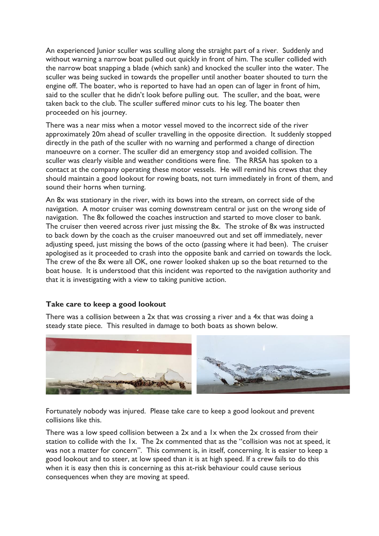An experienced Junior sculler was sculling along the straight part of a river. Suddenly and without warning a narrow boat pulled out quickly in front of him. The sculler collided with the narrow boat snapping a blade (which sank) and knocked the sculler into the water. The sculler was being sucked in towards the propeller until another boater shouted to turn the engine off. The boater, who is reported to have had an open can of lager in front of him, said to the sculler that he didn't look before pulling out. The sculler, and the boat, were taken back to the club. The sculler suffered minor cuts to his leg. The boater then proceeded on his journey.

There was a near miss when a motor vessel moved to the incorrect side of the river approximately 20m ahead of sculler travelling in the opposite direction. It suddenly stopped directly in the path of the sculler with no warning and performed a change of direction manoeuvre on a corner. The sculler did an emergency stop and avoided collision. The sculler was clearly visible and weather conditions were fine. The RRSA has spoken to a contact at the company operating these motor vessels. He will remind his crews that they should maintain a good lookout for rowing boats, not turn immediately in front of them, and sound their horns when turning.

An 8x was stationary in the river, with its bows into the stream, on correct side of the navigation. A motor cruiser was coming downstream central or just on the wrong side of navigation. The 8x followed the coaches instruction and started to move closer to bank. The cruiser then veered across river just missing the 8x. The stroke of 8x was instructed to back down by the coach as the cruiser manoeuvred out and set off immediately, never adjusting speed, just missing the bows of the octo (passing where it had been). The cruiser apologised as it proceeded to crash into the opposite bank and carried on towards the lock. The crew of the 8x were all OK, one rower looked shaken up so the boat returned to the boat house. It is understood that this incident was reported to the navigation authority and that it is investigating with a view to taking punitive action.

#### **Take care to keep a good lookout**

There was a collision between a  $2x$  that was crossing a river and a  $4x$  that was doing a steady state piece. This resulted in damage to both boats as shown below.



Fortunately nobody was injured. Please take care to keep a good lookout and prevent collisions like this.

There was a low speed collision between a 2x and a 1x when the 2x crossed from their station to collide with the 1x. The 2x commented that as the "collision was not at speed, it was not a matter for concern". This comment is, in itself, concerning. It is easier to keep a good lookout and to steer, at low speed than it is at high speed. If a crew fails to do this when it is easy then this is concerning as this at-risk behaviour could cause serious consequences when they are moving at speed.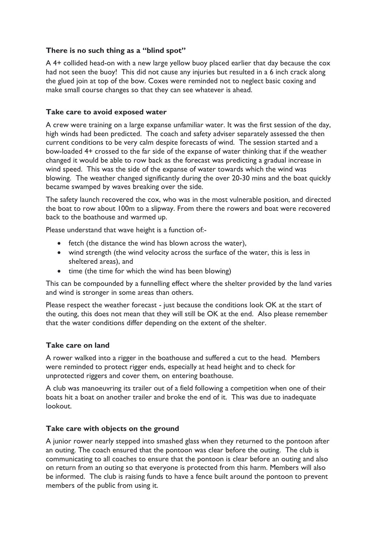#### **There is no such thing as a "blind spot"**

A 4+ collided head-on with a new large yellow buoy placed earlier that day because the cox had not seen the buoy! This did not cause any injuries but resulted in a 6 inch crack along the glued join at top of the bow. Coxes were reminded not to neglect basic coxing and make small course changes so that they can see whatever is ahead.

#### **Take care to avoid exposed water**

A crew were training on a large expanse unfamiliar water. It was the first session of the day, high winds had been predicted. The coach and safety adviser separately assessed the then current conditions to be very calm despite forecasts of wind. The session started and a bow-loaded 4+ crossed to the far side of the expanse of water thinking that if the weather changed it would be able to row back as the forecast was predicting a gradual increase in wind speed. This was the side of the expanse of water towards which the wind was blowing. The weather changed significantly during the over 20-30 mins and the boat quickly became swamped by waves breaking over the side.

The safety launch recovered the cox, who was in the most vulnerable position, and directed the boat to row about 100m to a slipway. From there the rowers and boat were recovered back to the boathouse and warmed up.

Please understand that wave height is a function of:-

- fetch (the distance the wind has blown across the water),
- wind strength (the wind velocity across the surface of the water, this is less in sheltered areas), and
- time (the time for which the wind has been blowing)

This can be compounded by a funnelling effect where the shelter provided by the land varies and wind is stronger in some areas than others.

Please respect the weather forecast - just because the conditions look OK at the start of the outing, this does not mean that they will still be OK at the end. Also please remember that the water conditions differ depending on the extent of the shelter.

#### **Take care on land**

A rower walked into a rigger in the boathouse and suffered a cut to the head. Members were reminded to protect rigger ends, especially at head height and to check for unprotected riggers and cover them, on entering boathouse.

A club was manoeuvring its trailer out of a field following a competition when one of their boats hit a boat on another trailer and broke the end of it. This was due to inadequate lookout.

#### **Take care with objects on the ground**

A junior rower nearly stepped into smashed glass when they returned to the pontoon after an outing. The coach ensured that the pontoon was clear before the outing. The club is communicating to all coaches to ensure that the pontoon is clear before an outing and also on return from an outing so that everyone is protected from this harm. Members will also be informed. The club is raising funds to have a fence built around the pontoon to prevent members of the public from using it.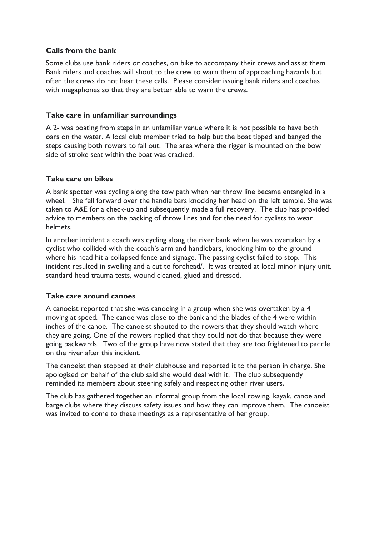#### **Calls from the bank**

Some clubs use bank riders or coaches, on bike to accompany their crews and assist them. Bank riders and coaches will shout to the crew to warn them of approaching hazards but often the crews do not hear these calls. Please consider issuing bank riders and coaches with megaphones so that they are better able to warn the crews.

#### **Take care in unfamiliar surroundings**

A 2- was boating from steps in an unfamiliar venue where it is not possible to have both oars on the water. A local club member tried to help but the boat tipped and banged the steps causing both rowers to fall out. The area where the rigger is mounted on the bow side of stroke seat within the boat was cracked.

#### **Take care on bikes**

A bank spotter was cycling along the tow path when her throw line became entangled in a wheel. She fell forward over the handle bars knocking her head on the left temple. She was taken to A&E for a check-up and subsequently made a full recovery. The club has provided advice to members on the packing of throw lines and for the need for cyclists to wear helmets.

In another incident a coach was cycling along the river bank when he was overtaken by a cyclist who collided with the coach's arm and handlebars, knocking him to the ground where his head hit a collapsed fence and signage. The passing cyclist failed to stop. This incident resulted in swelling and a cut to forehead/. It was treated at local minor injury unit, standard head trauma tests, wound cleaned, glued and dressed.

#### **Take care around canoes**

A canoeist reported that she was canoeing in a group when she was overtaken by a 4 moving at speed. The canoe was close to the bank and the blades of the 4 were within inches of the canoe. The canoeist shouted to the rowers that they should watch where they are going. One of the rowers replied that they could not do that because they were going backwards. Two of the group have now stated that they are too frightened to paddle on the river after this incident.

The canoeist then stopped at their clubhouse and reported it to the person in charge. She apologised on behalf of the club said she would deal with it. The club subsequently reminded its members about steering safely and respecting other river users.

The club has gathered together an informal group from the local rowing, kayak, canoe and barge clubs where they discuss safety issues and how they can improve them. The canoeist was invited to come to these meetings as a representative of her group.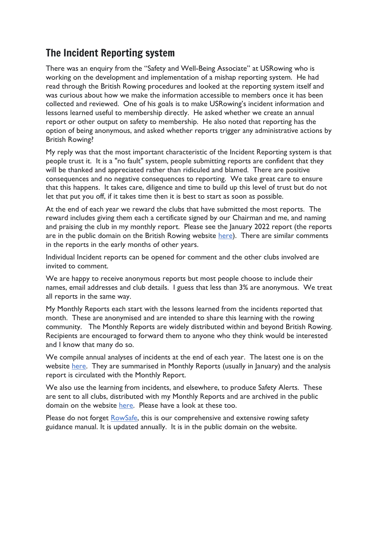## The Incident Reporting system

There was an enquiry from the "Safety and Well-Being Associate" at USRowing who is working on the development and implementation of a mishap reporting system. He had read through the British Rowing procedures and looked at the reporting system itself and was curious about how we make the information accessible to members once it has been collected and reviewed. One of his goals is to make USRowing's incident information and lessons learned useful to membership directly. He asked whether we create an annual report or other output on safety to membership. He also noted that reporting has the option of being anonymous, and asked whether reports trigger any administrative actions by British Rowing?

My reply was that the most important characteristic of the Incident Reporting system is that people trust it. It is a "no fault" system, people submitting reports are confident that they will be thanked and appreciated rather than ridiculed and blamed. There are positive consequences and no negative consequences to reporting. We take great care to ensure that this happens. It takes care, diligence and time to build up this level of trust but do not let that put you off, if it takes time then it is best to start as soon as possible.

At the end of each year we reward the clubs that have submitted the most reports. The reward includes giving them each a certificate signed by our Chairman and me, and naming and praising the club in my monthly report. Please see the January 2022 report (the reports are in the public domain on the British Rowing website [here\)](https://www.britishrowing.org/knowledge/safety/hrsa-monthly-report-archive/). There are similar comments in the reports in the early months of other years.

Individual Incident reports can be opened for comment and the other clubs involved are invited to comment.

We are happy to receive anonymous reports but most people choose to include their names, email addresses and club details. I guess that less than 3% are anonymous. We treat all reports in the same way.

My Monthly Reports each start with the lessons learned from the incidents reported that month. These are anonymised and are intended to share this learning with the rowing community. The Monthly Reports are widely distributed within and beyond British Rowing. Recipients are encouraged to forward them to anyone who they think would be interested and I know that many do so.

We compile annual analyses of incidents at the end of each year. The latest one is on the website [here.](https://www.britishrowing.org/wp-content/uploads/2022/01/2021-Incident-Analysis-1.pdf) They are summarised in Monthly Reports (usually in January) and the analysis report is circulated with the Monthly Report.

We also use the learning from incidents, and elsewhere, to produce Safety Alerts. These are sent to all clubs, distributed with my Monthly Reports and are archived in the public domain on the website [here.](https://www.britishrowing.org/knowledge/safety/safety-alert-archive/) Please have a look at these too.

Please do not forget [RowSafe,](https://www.britishrowing.org/about-us/policies-guidance/rowsafe/) this is our comprehensive and extensive rowing safety guidance manual. It is updated annually. It is in the public domain on the website.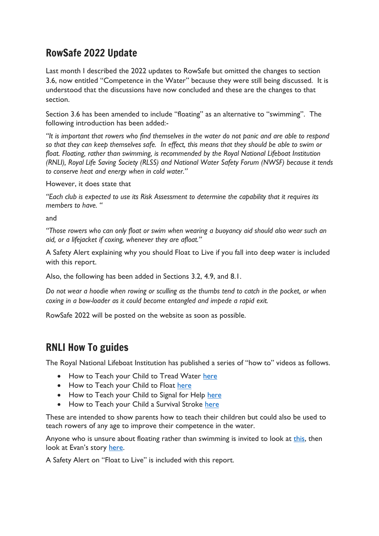## RowSafe 2022 Update

Last month I described the 2022 updates to RowSafe but omitted the changes to section 3.6, now entitled "Competence in the Water" because they were still being discussed. It is understood that the discussions have now concluded and these are the changes to that section.

Section 3.6 has been amended to include "floating" as an alternative to "swimming". The following introduction has been added:-

*"It is important that rowers who find themselves in the water do not panic and are able to respond so that they can keep themselves safe. In effect, this means that they should be able to swim or float. Floating, rather than swimming, is recommended by the Royal National Lifeboat Institution (RNLI), Royal Life Saving Society (RLSS) and National Water Safety Forum (NWSF) because it tends to conserve heat and energy when in cold water."*

However, it does state that

*"Each club is expected to use its Risk Assessment to determine the capability that it requires its members to have. "*

and

*"Those rowers who can only float or swim when wearing a buoyancy aid should also wear such an aid, or a lifejacket if coxing, whenever they are afloat."* 

A Safety Alert explaining why you should Float to Live if you fall into deep water is included with this report.

Also, the following has been added in Sections 3.2, 4.9, and 8.1.

*Do not wear a hoodie when rowing or sculling as the thumbs tend to catch in the pocket, or when coxing in a bow-loader as it could become entangled and impede a rapid exit.*

RowSafe 2022 will be posted on the website as soon as possible.

### RNLI How To guides

The Royal National Lifeboat Institution has published a series of "how to" videos as follows.

- How to Teach your Child to Tread Water [here](https://www.youtube.com/watch?v=7QAjDqzN5Lc)
- How to Teach your Child to Float [here](https://www.youtube.com/watch?v=odWm3DeRFlA)
- How to Teach your Child to Signal for Help [here](https://www.youtube.com/watch?v=AZJ1Eno0TFk)
- How to Teach your Child a Survival Stroke [here](https://www.youtube.com/watch?v=kGXVCJP0d6A)

These are intended to show parents how to teach their children but could also be used to teach rowers of any age to improve their competence in the water.

Anyone who is unsure about floating rather than swimming is invited to look at [this,](https://www.youtube.com/watch?v=3OBCFEEZe1U) then look at Evan's story [here.](https://www.youtube.com/watch?v=WMuCyARlZ98)

A Safety Alert on "Float to Live" is included with this report.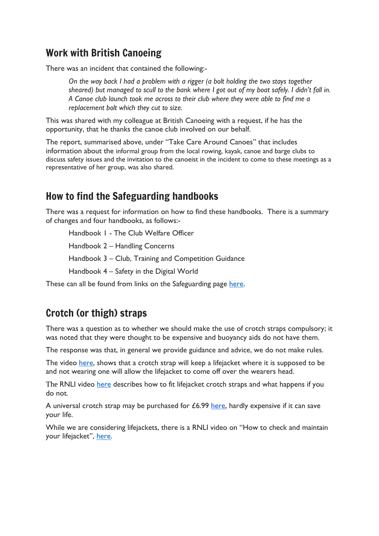## Work with British Canoeing

There was an incident that contained the following:-

*On the way back I had a problem with a rigger (a bolt holding the two stays together sheared) but managed to scull to the bank where I got out of my boat safely. I didn't fall in. A Canoe club launch took me across to their club where they were able to find me a replacement bolt which they cut to size.* 

This was shared with my colleague at British Canoeing with a request, if he has the opportunity, that he thanks the canoe club involved on our behalf.

The report, summarised above, under "Take Care Around Canoes" that includes information about the informal group from the local rowing, kayak, canoe and barge clubs to discuss safety issues and the invitation to the canoeist in the incident to come to these meetings as a representative of her group, was also shared.

## How to find the Safeguarding handbooks

There was a request for information on how to find these handbooks. There is a summary of changes and four handbooks, as follows:-

Handbook 1 - The Club Welfare Officer

Handbook 2 – Handling Concerns

Handbook 3 – Club, Training and Competition Guidance

Handbook 4 – Safety in the Digital World

These can all be found from links on the Safeguarding page [here.](https://www.britishrowing.org/knowledge/safeguarding/)

## Crotch (or thigh) straps

There was a question as to whether we should make the use of crotch straps compulsory; it was noted that they were thought to be expensive and buoyancy aids do not have them.

The response was that, in general we provide guidance and advice, we do not make rules.

The video [here,](https://www.youtube.com/watch?v=qDx1C6d6JFU) shows that a crotch strap will keep a lifejacket where it is supposed to be and not wearing one will allow the lifejacket to come off over the wearers head.

The RNLI video [here](https://www.youtube.com/watch?v=VOYHC-wz6OM) describes how to fit lifejacket crotch straps and what happens if you do not.

A universal crotch strap may be purchased for  $£6.99$  [here,](https://www.piratescave.co.uk/plastimo-life-jacket-crotch-strap.html?id=240241971&gclid=Cj0KCQjwxtSSBhDYARIsAEn0thRRGSXY7d8G9m1lBD1QvnhFRXnZl5bl3tRZgdsCbmB397PuALi3pz0aAruwEALw_wcB) hardly expensive if it can save your life.

While we are considering lifejackets, there is a RNLI video on "How to check and maintain your lifejacket", [here.](https://www.youtube.com/watch?v=4kEf5cOe5Zg&list=PLrYLpy0TFz06lXMSWE1Z3P8b3JAk1FglP)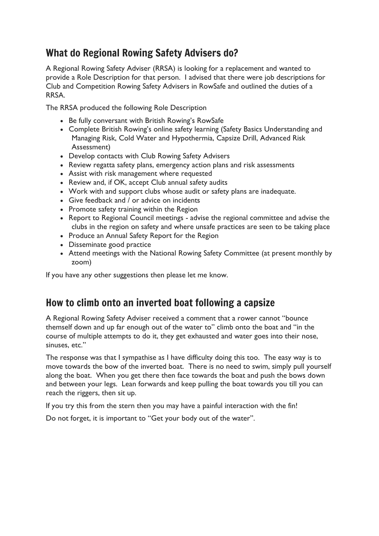## What do Regional Rowing Safety Advisers do?

A Regional Rowing Safety Adviser (RRSA) is looking for a replacement and wanted to provide a Role Description for that person. I advised that there were job descriptions for Club and Competition Rowing Safety Advisers in RowSafe and outlined the duties of a RRSA.

The RRSA produced the following Role Description

- Be fully conversant with British Rowing's RowSafe
- Complete British Rowing's online safety learning (Safety Basics Understanding and Managing Risk, Cold Water and Hypothermia, Capsize Drill, Advanced Risk Assessment)
- Develop contacts with Club Rowing Safety Advisers
- Review regatta safety plans, emergency action plans and risk assessments
- Assist with risk management where requested
- Review and, if OK, accept Club annual safety audits
- Work with and support clubs whose audit or safety plans are inadequate.
- Give feedback and / or advice on incidents
- Promote safety training within the Region
- Report to Regional Council meetings advise the regional committee and advise the clubs in the region on safety and where unsafe practices are seen to be taking place
- Produce an Annual Safety Report for the Region
- Disseminate good practice
- Attend meetings with the National Rowing Safety Committee (at present monthly by zoom)

If you have any other suggestions then please let me know.

## How to climb onto an inverted boat following a capsize

A Regional Rowing Safety Adviser received a comment that a rower cannot "bounce themself down and up far enough out of the water to" climb onto the boat and "in the course of multiple attempts to do it, they get exhausted and water goes into their nose, sinuses, etc."

The response was that I sympathise as I have difficulty doing this too. The easy way is to move towards the bow of the inverted boat. There is no need to swim, simply pull yourself along the boat. When you get there then face towards the boat and push the bows down and between your legs. Lean forwards and keep pulling the boat towards you till you can reach the riggers, then sit up.

If you try this from the stern then you may have a painful interaction with the fin!

Do not forget, it is important to "Get your body out of the water".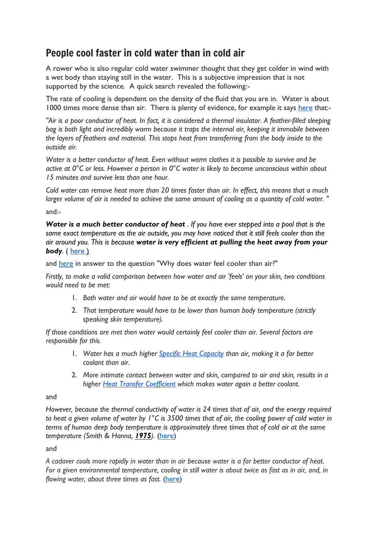## People cool faster in cold water than in cold air

A rower who is also regular cold water swimmer thought that they get colder in wind with a wet body than staying still in the water. This is a subjective impression that is not supported by the science. A quick search revealed the following:-

The rate of cooling is dependent on the density of the fluid that you are in. Water is about 1000 times more dense than air. T[here](https://www.postharvest.net.au/postharvest-fundamentals/cooling-and-storage/cooling-rates/) is plenty of evidence, for example it says here that:-

"Air is a poor conductor of heat. In fact, it is considered a thermal insulator. A feather-filled sleeping *bag is both light and incredibly warm because it traps the internal air, keeping it immobile between the layers of feathers and material. This stops heat from transferring from the body inside to the outside air.*

*Water is a better conductor of heat. Even without warm clothes it is possible to survive and be active at 0°C or less. However a person in 0°C water is likely to become unconscious within about 15 minutes and survive less than one hour.*

Cold water can remove heat more than 20 times faster than air. In effect, this means that a much larger volume of air is needed to achieve the same amount of cooling as a quantity of cold water. "

and:-

Water is a much better conductor of heat . If you have ever stepped into a pool that is the same exact temperature as the air outside, you may have noticed that it still feels cooler than the *air around you. This is because water is very efficient at pulling the heat away from your body.* ( [here](http://scienceline.ucsb.edu/getkey.php?key=6250) )

and [here](https://physics.stackexchange.com/questions/246758/why-does-water-feel-cooler-than-air) in answer to the question "Why does water feel cooler than air?"

*Firstly, to make a valid comparison between how water and air 'feels' on your skin, two conditions would need to be met:*

- 1. *Both water and air would have to be at exactly the same temperature.*
- 2. *That temperature would have to be lower than human body temperature (strictly speaking skin temperature).*

*If those conditions are met then water would certainly feel cooler than air. Several factors are responsible for this.*

- 1. *Water has a much higher Specific Heat [Capacity](http://www.bbc.co.uk/schools/gcsebitesize/science/aqa/heatingandcooling/buildingsrev3.shtml) than air, making it a far better coolant than air.*
- 2. *More intimate contact between water and skin, compared to air and skin, results in a higher Heat Transfer [Coefficient](https://en.wikipedia.org/wiki/Heat_transfer_coefficient) which makes water again a better coolant.*

and

*However, because the thermal conductivity of water is 24 times that of air, and the energy required* to heat a given volume of water by  $1^{\circ}$ C is 3500 times that of air, the cooling power of cold water in *terms of human deep body temperature is approximately three times that of cold air at the same temperature (Smith & Hanna, [1975](https://physoc.onlinelibrary.wiley.com/doi/full/10.1113/EP086283#eph12160-bib-0134)).* [\(here\)](https://physoc.onlinelibrary.wiley.com/doi/full/10.1113/EP086283)

and

A cadaver cools more rapidly in water than in air because water is a far better conductor of heat. For a given environmental temperature, cooling in still water is about twice as fast as in air, and, in *flowing water, about three times as fast.* [\(here\)](https://www.sciencedirect.com/topics/medicine-and-dentistry/algor-mortis#:~:text=A%20cadaver%20cools%20more%20rapidly,about%20three%20times%20as%20fast.)